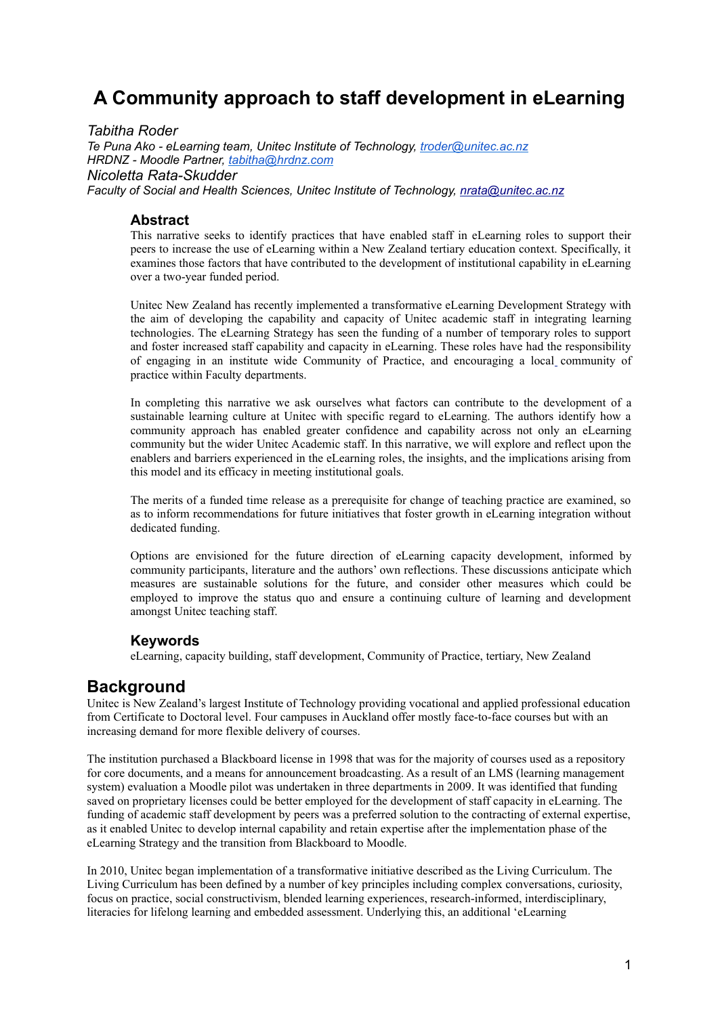# **A Community approach to staff development in eLearning**

*Tabitha Roder Te Puna Ako - eLearning team, Unitec Institute of Technology, troder@unitec.ac.nz HRDNZ - Moodle Partner, tabitha@hrdnz.com Nicoletta Rata-Skudder Faculty of Social and Health Sciences, Unitec Institute of Technology, nrata @ unitec .ac .nz*

### **Abstract**

This narrative seeks to identify practices that have enabled staff in eLearning roles to support their peers to increase the use of eLearning within a New Zealand tertiary education context. Specifically, it examines those factors that have contributed to the development of institutional capability in eLearning over a two-year funded period.

Unitec New Zealand has recently implemented a transformative eLearning Development Strategy with the aim of developing the capability and capacity of Unitec academic staff in integrating learning technologies. The eLearning Strategy has seen the funding of a number of temporary roles to support and foster increased staff capability and capacity in eLearning. These roles have had the responsibility of engaging in an institute wide Community of Practice, and encouraging a local community of practice within Faculty departments.

In completing this narrative we ask ourselves what factors can contribute to the development of a sustainable learning culture at Unitec with specific regard to eLearning. The authors identify how a community approach has enabled greater confidence and capability across not only an eLearning community but the wider Unitec Academic staff. In this narrative, we will explore and reflect upon the enablers and barriers experienced in the eLearning roles, the insights, and the implications arising from this model and its efficacy in meeting institutional goals.

The merits of a funded time release as a prerequisite for change of teaching practice are examined, so as to inform recommendations for future initiatives that foster growth in eLearning integration without dedicated funding.

Options are envisioned for the future direction of eLearning capacity development, informed by community participants, literature and the authors' own reflections. These discussions anticipate which measures are sustainable solutions for the future, and consider other measures which could be employed to improve the status quo and ensure a continuing culture of learning and development amongst Unitec teaching staff.

#### **Keywords**

eLearning, capacity building, staff development, Community of Practice, tertiary, New Zealand

## **Background**

Unitec is New Zealand's largest Institute of Technology providing vocational and applied professional education from Certificate to Doctoral level. Four campuses in Auckland offer mostly face-to-face courses but with an increasing demand for more flexible delivery of courses.

The institution purchased a Blackboard license in 1998 that was for the majority of courses used as a repository for core documents, and a means for announcement broadcasting. As a result of an LMS (learning management system) evaluation a Moodle pilot was undertaken in three departments in 2009. It was identified that funding saved on proprietary licenses could be better employed for the development of staff capacity in eLearning. The funding of academic staff development by peers was a preferred solution to the contracting of external expertise, as it enabled Unitec to develop internal capability and retain expertise after the implementation phase of the eLearning Strategy and the transition from Blackboard to Moodle.

In 2010, Unitec began implementation of a transformative initiative described as the Living Curriculum. The Living Curriculum has been defined by a number of key principles including complex conversations, curiosity, focus on practice, social constructivism, blended learning experiences, research-informed, interdisciplinary, literacies for lifelong learning and embedded assessment. Underlying this, an additional 'eLearning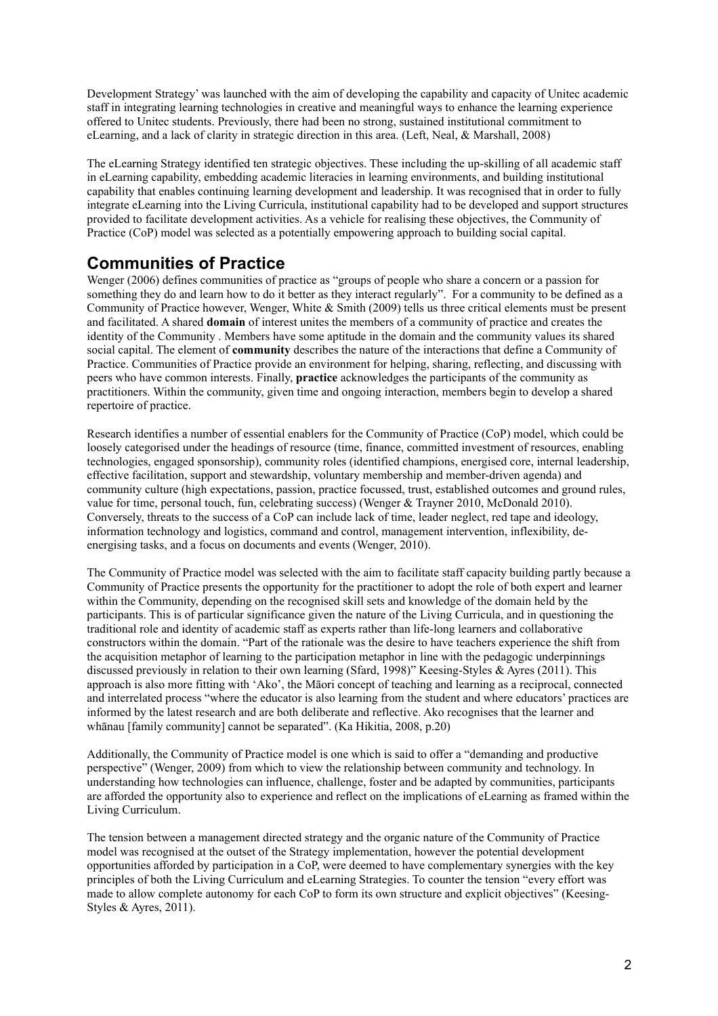Development Strategy' was launched with the aim of developing the capability and capacity of Unitec academic staff in integrating learning technologies in creative and meaningful ways to enhance the learning experience offered to Unitec students. Previously, there had been no strong, sustained institutional commitment to eLearning, and a lack of clarity in strategic direction in this area. (Left, Neal, & Marshall, 2008)

The eLearning Strategy identified ten strategic objectives. These including the up-skilling of all academic staff in eLearning capability, embedding academic literacies in learning environments, and building institutional capability that enables continuing learning development and leadership. It was recognised that in order to fully integrate eLearning into the Living Curricula, institutional capability had to be developed and support structures provided to facilitate development activities. As a vehicle for realising these objectives, the Community of Practice (CoP) model was selected as a potentially empowering approach to building social capital.

## **Communities of Practice**

Wenger (2006) defines communities of practice as "groups of people who share a concern or a passion for something they do and learn how to do it better as they interact regularly". For a community to be defined as a Community of Practice however, Wenger, White & Smith (2009) tells us three critical elements must be present and facilitated. A shared **domain** of interest unites the members of a community of practice and creates the identity of the Community . Members have some aptitude in the domain and the community values its shared social capital. The element of **community** describes the nature of the interactions that define a Community of Practice. Communities of Practice provide an environment for helping, sharing, reflecting, and discussing with peers who have common interests. Finally, **practice** acknowledges the participants of the community as practitioners. Within the community, given time and ongoing interaction, members begin to develop a shared repertoire of practice.

Research identifies a number of essential enablers for the Community of Practice (CoP) model, which could be loosely categorised under the headings of resource (time, finance, committed investment of resources, enabling technologies, engaged sponsorship), community roles (identified champions, energised core, internal leadership, effective facilitation, support and stewardship, voluntary membership and member-driven agenda) and community culture (high expectations, passion, practice focussed, trust, established outcomes and ground rules, value for time, personal touch, fun, celebrating success) (Wenger & Trayner 2010, McDonald 2010). Conversely, threats to the success of a CoP can include lack of time, leader neglect, red tape and ideology, information technology and logistics, command and control, management intervention, inflexibility, deenergising tasks, and a focus on documents and events (Wenger, 2010).

The Community of Practice model was selected with the aim to facilitate staff capacity building partly because a Community of Practice presents the opportunity for the practitioner to adopt the role of both expert and learner within the Community, depending on the recognised skill sets and knowledge of the domain held by the participants. This is of particular significance given the nature of the Living Curricula, and in questioning the traditional role and identity of academic staff as experts rather than life-long learners and collaborative constructors within the domain. "Part of the rationale was the desire to have teachers experience the shift from the acquisition metaphor of learning to the participation metaphor in line with the pedagogic underpinnings discussed previously in relation to their own learning (Sfard, 1998)" Keesing-Styles & Ayres (2011). This approach is also more fitting with 'Ako', the Māori concept of teaching and learning as a reciprocal, connected and interrelated process "where the educator is also learning from the student and where educators' practices are informed by the latest research and are both deliberate and reflective. Ako recognises that the learner and whānau [family community] cannot be separated". (Ka Hikitia, 2008, p.20)

Additionally, the Community of Practice model is one which is said to offer a "demanding and productive perspective" (Wenger, 2009) from which to view the relationship between community and technology. In understanding how technologies can influence, challenge, foster and be adapted by communities, participants are afforded the opportunity also to experience and reflect on the implications of eLearning as framed within the Living Curriculum.

The tension between a management directed strategy and the organic nature of the Community of Practice model was recognised at the outset of the Strategy implementation, however the potential development opportunities afforded by participation in a CoP, were deemed to have complementary synergies with the key principles of both the Living Curriculum and eLearning Strategies. To counter the tension "every effort was made to allow complete autonomy for each CoP to form its own structure and explicit objectives" (Keesing-Styles & Ayres, 2011).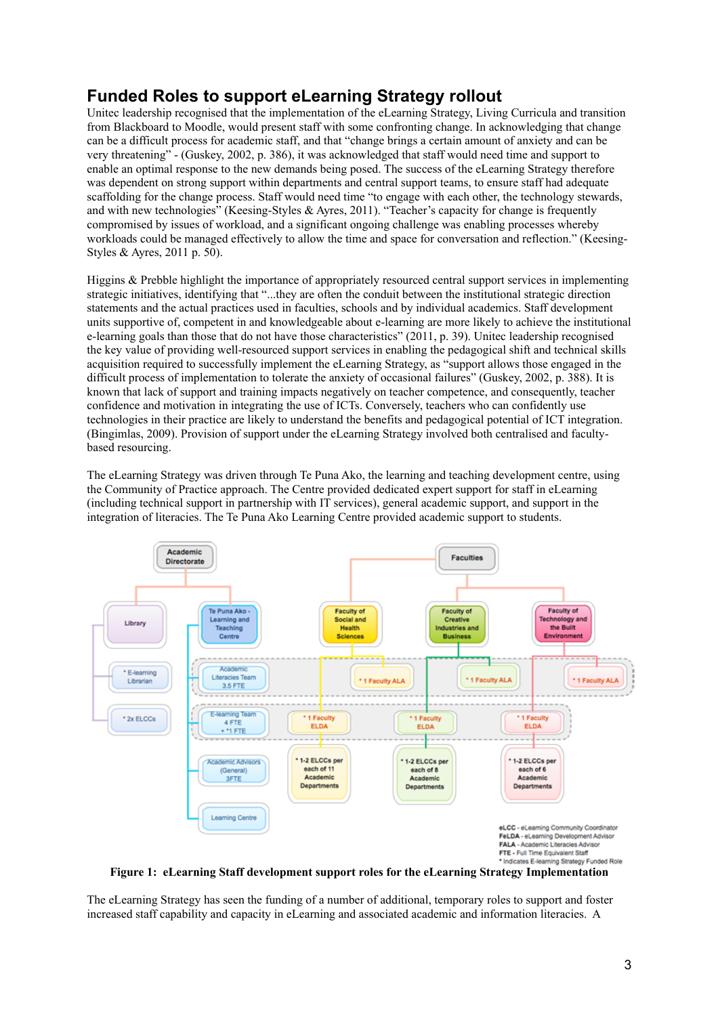## **Funded Roles to support eLearning Strategy rollout**

Unitec leadership recognised that the implementation of the eLearning Strategy, Living Curricula and transition from Blackboard to Moodle, would present staff with some confronting change. In acknowledging that change can be a difficult process for academic staff, and that "change brings a certain amount of anxiety and can be very threatening" - (Guskey, 2002, p. 386), it was acknowledged that staff would need time and support to enable an optimal response to the new demands being posed. The success of the eLearning Strategy therefore was dependent on strong support within departments and central support teams, to ensure staff had adequate scaffolding for the change process. Staff would need time "to engage with each other, the technology stewards, and with new technologies" (Keesing-Styles & Ayres, 2011). "Teacher's capacity for change is frequently compromised by issues of workload, and a significant ongoing challenge was enabling processes whereby workloads could be managed effectively to allow the time and space for conversation and reflection." (Keesing-Styles & Ayres, 2011 p. 50).

Higgins & Prebble highlight the importance of appropriately resourced central support services in implementing strategic initiatives, identifying that "...they are often the conduit between the institutional strategic direction statements and the actual practices used in faculties, schools and by individual academics. Staff development units supportive of, competent in and knowledgeable about e-learning are more likely to achieve the institutional e-learning goals than those that do not have those characteristics" (2011, p. 39). Unitec leadership recognised the key value of providing well-resourced support services in enabling the pedagogical shift and technical skills acquisition required to successfully implement the eLearning Strategy, as "support allows those engaged in the difficult process of implementation to tolerate the anxiety of occasional failures" (Guskey, 2002, p. 388). It is known that lack of support and training impacts negatively on teacher competence, and consequently, teacher confidence and motivation in integrating the use of ICTs. Conversely, teachers who can confidently use technologies in their practice are likely to understand the benefits and pedagogical potential of ICT integration. (Bingimlas, 2009). Provision of support under the eLearning Strategy involved both centralised and facultybased resourcing.

The eLearning Strategy was driven through Te Puna Ako, the learning and teaching development centre, using the Community of Practice approach. The Centre provided dedicated expert support for staff in eLearning (including technical support in partnership with IT services), general academic support, and support in the integration of literacies. The Te Puna Ako Learning Centre provided academic support to students.



**Figure 1: eLearning Staff development support roles for the eLearning Strategy Implementation**

The eLearning Strategy has seen the funding of a number of additional, temporary roles to support and foster increased staff capability and capacity in eLearning and associated academic and information literacies. A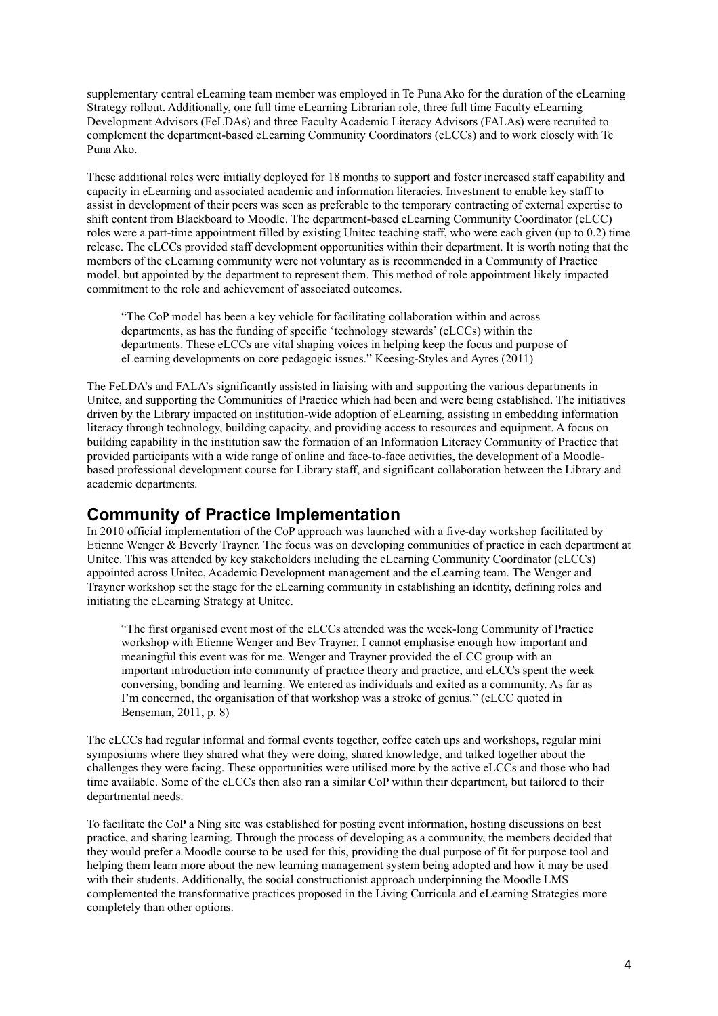supplementary central eLearning team member was employed in Te Puna Ako for the duration of the eLearning Strategy rollout. Additionally, one full time eLearning Librarian role, three full time Faculty eLearning Development Advisors (FeLDAs) and three Faculty Academic Literacy Advisors (FALAs) were recruited to complement the department-based eLearning Community Coordinators (eLCCs) and to work closely with Te Puna Ako.

These additional roles were initially deployed for 18 months to support and foster increased staff capability and capacity in eLearning and associated academic and information literacies. Investment to enable key staff to assist in development of their peers was seen as preferable to the temporary contracting of external expertise to shift content from Blackboard to Moodle. The department-based eLearning Community Coordinator (eLCC) roles were a part-time appointment filled by existing Unitec teaching staff, who were each given (up to 0.2) time release. The eLCCs provided staff development opportunities within their department. It is worth noting that the members of the eLearning community were not voluntary as is recommended in a Community of Practice model, but appointed by the department to represent them. This method of role appointment likely impacted commitment to the role and achievement of associated outcomes.

"The CoP model has been a key vehicle for facilitating collaboration within and across departments, as has the funding of specific 'technology stewards' (eLCCs) within the departments. These eLCCs are vital shaping voices in helping keep the focus and purpose of eLearning developments on core pedagogic issues." Keesing-Styles and Ayres (2011)

The FeLDA's and FALA's significantly assisted in liaising with and supporting the various departments in Unitec, and supporting the Communities of Practice which had been and were being established. The initiatives driven by the Library impacted on institution-wide adoption of eLearning, assisting in embedding information literacy through technology, building capacity, and providing access to resources and equipment. A focus on building capability in the institution saw the formation of an Information Literacy Community of Practice that provided participants with a wide range of online and face-to-face activities, the development of a Moodlebased professional development course for Library staff, and significant collaboration between the Library and academic departments.

## **Community of Practice Implementation**

In 2010 official implementation of the CoP approach was launched with a five-day workshop facilitated by Etienne Wenger & Beverly Trayner. The focus was on developing communities of practice in each department at Unitec. This was attended by key stakeholders including the eLearning Community Coordinator (eLCCs) appointed across Unitec, Academic Development management and the eLearning team. The Wenger and Trayner workshop set the stage for the eLearning community in establishing an identity, defining roles and initiating the eLearning Strategy at Unitec.

"The first organised event most of the eLCCs attended was the week-long Community of Practice workshop with Etienne Wenger and Bev Trayner. I cannot emphasise enough how important and meaningful this event was for me. Wenger and Trayner provided the eLCC group with an important introduction into community of practice theory and practice, and eLCCs spent the week conversing, bonding and learning. We entered as individuals and exited as a community. As far as I'm concerned, the organisation of that workshop was a stroke of genius." (eLCC quoted in Benseman, 2011, p. 8)

The eLCCs had regular informal and formal events together, coffee catch ups and workshops, regular mini symposiums where they shared what they were doing, shared knowledge, and talked together about the challenges they were facing. These opportunities were utilised more by the active eLCCs and those who had time available. Some of the eLCCs then also ran a similar CoP within their department, but tailored to their departmental needs.

To facilitate the CoP a Ning site was established for posting event information, hosting discussions on best practice, and sharing learning. Through the process of developing as a community, the members decided that they would prefer a Moodle course to be used for this, providing the dual purpose of fit for purpose tool and helping them learn more about the new learning management system being adopted and how it may be used with their students. Additionally, the social constructionist approach underpinning the Moodle LMS complemented the transformative practices proposed in the Living Curricula and eLearning Strategies more completely than other options.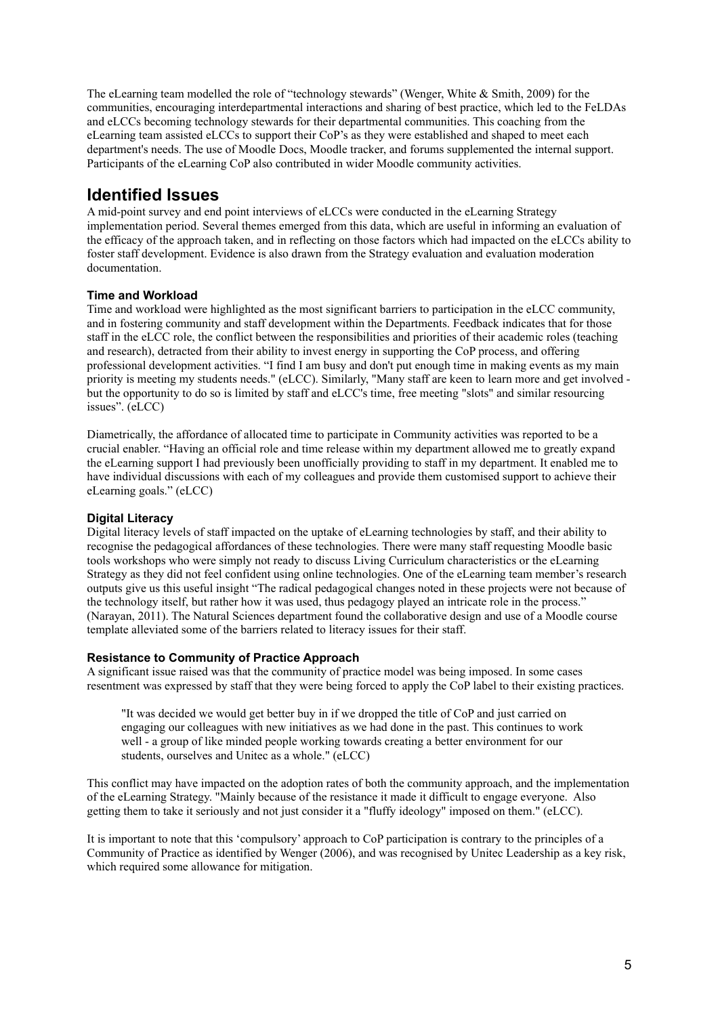The eLearning team modelled the role of "technology stewards" (Wenger, White & Smith, 2009) for the communities, encouraging interdepartmental interactions and sharing of best practice, which led to the FeLDAs and eLCCs becoming technology stewards for their departmental communities. This coaching from the eLearning team assisted eLCCs to support their CoP's as they were established and shaped to meet each department's needs. The use of Moodle Docs, Moodle tracker, and forums supplemented the internal support. Participants of the eLearning CoP also contributed in wider Moodle community activities.

## **Identified Issues**

A mid-point survey and end point interviews of eLCCs were conducted in the eLearning Strategy implementation period. Several themes emerged from this data, which are useful in informing an evaluation of the efficacy of the approach taken, and in reflecting on those factors which had impacted on the eLCCs ability to foster staff development. Evidence is also drawn from the Strategy evaluation and evaluation moderation documentation.

### **Time and Workload**

Time and workload were highlighted as the most significant barriers to participation in the eLCC community, and in fostering community and staff development within the Departments. Feedback indicates that for those staff in the eLCC role, the conflict between the responsibilities and priorities of their academic roles (teaching and research), detracted from their ability to invest energy in supporting the CoP process, and offering professional development activities. "I find I am busy and don't put enough time in making events as my main priority is meeting my students needs." (eLCC). Similarly, "Many staff are keen to learn more and get involved but the opportunity to do so is limited by staff and eLCC's time, free meeting "slots" and similar resourcing issues". (eLCC)

Diametrically, the affordance of allocated time to participate in Community activities was reported to be a crucial enabler. "Having an official role and time release within my department allowed me to greatly expand the eLearning support I had previously been unofficially providing to staff in my department. It enabled me to have individual discussions with each of my colleagues and provide them customised support to achieve their eLearning goals." (eLCC)

### **Digital Literacy**

Digital literacy levels of staff impacted on the uptake of eLearning technologies by staff, and their ability to recognise the pedagogical affordances of these technologies. There were many staff requesting Moodle basic tools workshops who were simply not ready to discuss Living Curriculum characteristics or the eLearning Strategy as they did not feel confident using online technologies. One of the eLearning team member's research outputs give us this useful insight "The radical pedagogical changes noted in these projects were not because of the technology itself, but rather how it was used, thus pedagogy played an intricate role in the process." (Narayan, 2011). The Natural Sciences department found the collaborative design and use of a Moodle course template alleviated some of the barriers related to literacy issues for their staff.

#### **Resistance to Community of Practice Approach**

A significant issue raised was that the community of practice model was being imposed. In some cases resentment was expressed by staff that they were being forced to apply the CoP label to their existing practices.

"It was decided we would get better buy in if we dropped the title of CoP and just carried on engaging our colleagues with new initiatives as we had done in the past. This continues to work well - a group of like minded people working towards creating a better environment for our students, ourselves and Unitec as a whole." (eLCC)

This conflict may have impacted on the adoption rates of both the community approach, and the implementation of the eLearning Strategy. "Mainly because of the resistance it made it difficult to engage everyone. Also getting them to take it seriously and not just consider it a "fluffy ideology" imposed on them." (eLCC).

It is important to note that this 'compulsory' approach to CoP participation is contrary to the principles of a Community of Practice as identified by Wenger (2006), and was recognised by Unitec Leadership as a key risk, which required some allowance for mitigation.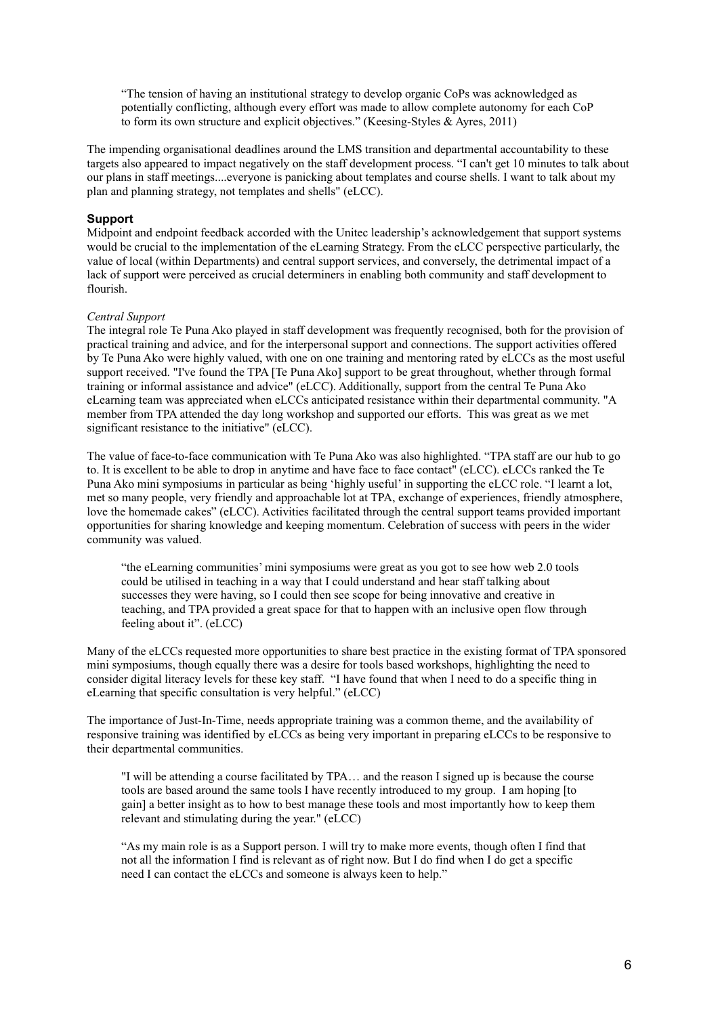"The tension of having an institutional strategy to develop organic CoPs was acknowledged as potentially conflicting, although every effort was made to allow complete autonomy for each CoP to form its own structure and explicit objectives." (Keesing-Styles & Ayres, 2011)

The impending organisational deadlines around the LMS transition and departmental accountability to these targets also appeared to impact negatively on the staff development process. "I can't get 10 minutes to talk about our plans in staff meetings....everyone is panicking about templates and course shells. I want to talk about my plan and planning strategy, not templates and shells" (eLCC).

#### **Support**

Midpoint and endpoint feedback accorded with the Unitec leadership's acknowledgement that support systems would be crucial to the implementation of the eLearning Strategy. From the eLCC perspective particularly, the value of local (within Departments) and central support services, and conversely, the detrimental impact of a lack of support were perceived as crucial determiners in enabling both community and staff development to flourish.

#### *Central Support*

The integral role Te Puna Ako played in staff development was frequently recognised, both for the provision of practical training and advice, and for the interpersonal support and connections. The support activities offered by Te Puna Ako were highly valued, with one on one training and mentoring rated by eLCCs as the most useful support received. "I've found the TPA [Te Puna Ako] support to be great throughout, whether through formal training or informal assistance and advice" (eLCC). Additionally, support from the central Te Puna Ako eLearning team was appreciated when eLCCs anticipated resistance within their departmental community. "A member from TPA attended the day long workshop and supported our efforts. This was great as we met significant resistance to the initiative" (eLCC).

The value of face-to-face communication with Te Puna Ako was also highlighted. "TPA staff are our hub to go to. It is excellent to be able to drop in anytime and have face to face contact" (eLCC). eLCCs ranked the Te Puna Ako mini symposiums in particular as being 'highly useful' in supporting the eLCC role. "I learnt a lot, met so many people, very friendly and approachable lot at TPA, exchange of experiences, friendly atmosphere, love the homemade cakes" (eLCC). Activities facilitated through the central support teams provided important opportunities for sharing knowledge and keeping momentum. Celebration of success with peers in the wider community was valued.

"the eLearning communities' mini symposiums were great as you got to see how web 2.0 tools could be utilised in teaching in a way that I could understand and hear staff talking about successes they were having, so I could then see scope for being innovative and creative in teaching, and TPA provided a great space for that to happen with an inclusive open flow through feeling about it". (eLCC)

Many of the eLCCs requested more opportunities to share best practice in the existing format of TPA sponsored mini symposiums, though equally there was a desire for tools based workshops, highlighting the need to consider digital literacy levels for these key staff. "I have found that when I need to do a specific thing in eLearning that specific consultation is very helpful." (eLCC)

The importance of Just-In-Time, needs appropriate training was a common theme, and the availability of responsive training was identified by eLCCs as being very important in preparing eLCCs to be responsive to their departmental communities.

"I will be attending a course facilitated by TPA… and the reason I signed up is because the course tools are based around the same tools I have recently introduced to my group. I am hoping [to gain] a better insight as to how to best manage these tools and most importantly how to keep them relevant and stimulating during the year." (eLCC)

"As my main role is as a Support person. I will try to make more events, though often I find that not all the information I find is relevant as of right now. But I do find when I do get a specific need I can contact the eLCCs and someone is always keen to help."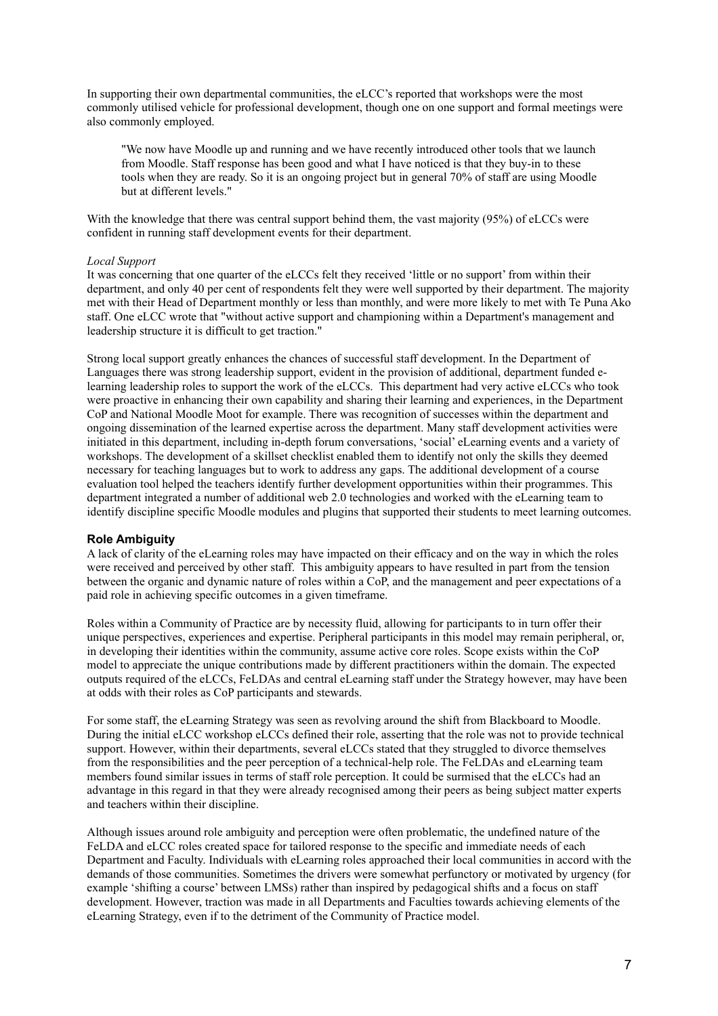In supporting their own departmental communities, the eLCC's reported that workshops were the most commonly utilised vehicle for professional development, though one on one support and formal meetings were also commonly employed.

"We now have Moodle up and running and we have recently introduced other tools that we launch from Moodle. Staff response has been good and what I have noticed is that they buy-in to these tools when they are ready. So it is an ongoing project but in general 70% of staff are using Moodle but at different levels."

With the knowledge that there was central support behind them, the vast majority (95%) of eLCCs were confident in running staff development events for their department.

#### *Local Support*

It was concerning that one quarter of the eLCCs felt they received 'little or no support' from within their department, and only 40 per cent of respondents felt they were well supported by their department. The majority met with their Head of Department monthly or less than monthly, and were more likely to met with Te Puna Ako staff. One eLCC wrote that "without active support and championing within a Department's management and leadership structure it is difficult to get traction."

Strong local support greatly enhances the chances of successful staff development. In the Department of Languages there was strong leadership support, evident in the provision of additional, department funded elearning leadership roles to support the work of the eLCCs. This department had very active eLCCs who took were proactive in enhancing their own capability and sharing their learning and experiences, in the Department CoP and National Moodle Moot for example. There was recognition of successes within the department and ongoing dissemination of the learned expertise across the department. Many staff development activities were initiated in this department, including in-depth forum conversations, 'social' eLearning events and a variety of workshops. The development of a skillset checklist enabled them to identify not only the skills they deemed necessary for teaching languages but to work to address any gaps. The additional development of a course evaluation tool helped the teachers identify further development opportunities within their programmes. This department integrated a number of additional web 2.0 technologies and worked with the eLearning team to identify discipline specific Moodle modules and plugins that supported their students to meet learning outcomes.

#### **Role Ambiguity**

A lack of clarity of the eLearning roles may have impacted on their efficacy and on the way in which the roles were received and perceived by other staff. This ambiguity appears to have resulted in part from the tension between the organic and dynamic nature of roles within a CoP, and the management and peer expectations of a paid role in achieving specific outcomes in a given timeframe.

Roles within a Community of Practice are by necessity fluid, allowing for participants to in turn offer their unique perspectives, experiences and expertise. Peripheral participants in this model may remain peripheral, or, in developing their identities within the community, assume active core roles. Scope exists within the CoP model to appreciate the unique contributions made by different practitioners within the domain. The expected outputs required of the eLCCs, FeLDAs and central eLearning staff under the Strategy however, may have been at odds with their roles as CoP participants and stewards.

For some staff, the eLearning Strategy was seen as revolving around the shift from Blackboard to Moodle. During the initial eLCC workshop eLCCs defined their role, asserting that the role was not to provide technical support. However, within their departments, several eLCCs stated that they struggled to divorce themselves from the responsibilities and the peer perception of a technical-help role. The FeLDAs and eLearning team members found similar issues in terms of staff role perception. It could be surmised that the eLCCs had an advantage in this regard in that they were already recognised among their peers as being subject matter experts and teachers within their discipline.

Although issues around role ambiguity and perception were often problematic, the undefined nature of the FeLDA and eLCC roles created space for tailored response to the specific and immediate needs of each Department and Faculty. Individuals with eLearning roles approached their local communities in accord with the demands of those communities. Sometimes the drivers were somewhat perfunctory or motivated by urgency (for example 'shifting a course' between LMSs) rather than inspired by pedagogical shifts and a focus on staff development. However, traction was made in all Departments and Faculties towards achieving elements of the eLearning Strategy, even if to the detriment of the Community of Practice model.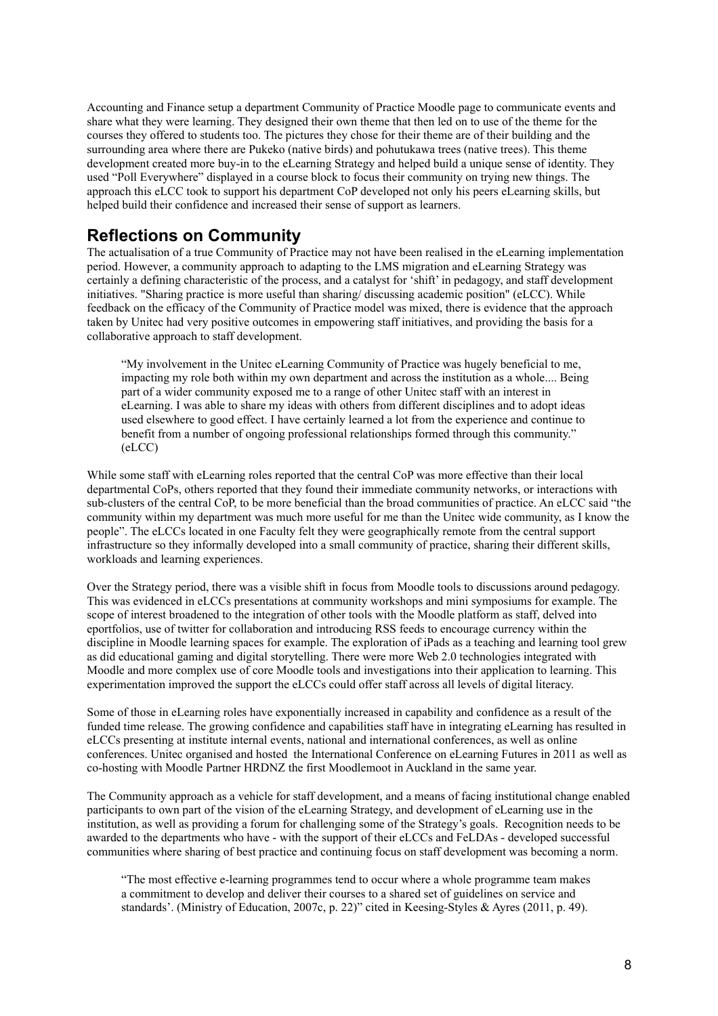Accounting and Finance setup a department Community of Practice Moodle page to communicate events and share what they were learning. They designed their own theme that then led on to use of the theme for the courses they offered to students too. The pictures they chose for their theme are of their building and the surrounding area where there are Pukeko (native birds) and pohutukawa trees (native trees). This theme development created more buy-in to the eLearning Strategy and helped build a unique sense of identity. They used "Poll Everywhere" displayed in a course block to focus their community on trying new things. The approach this eLCC took to support his department CoP developed not only his peers eLearning skills, but helped build their confidence and increased their sense of support as learners.

## **Reflections on Community**

The actualisation of a true Community of Practice may not have been realised in the eLearning implementation period. However, a community approach to adapting to the LMS migration and eLearning Strategy was certainly a defining characteristic of the process, and a catalyst for 'shift' in pedagogy, and staff development initiatives. "Sharing practice is more useful than sharing/ discussing academic position" (eLCC). While feedback on the efficacy of the Community of Practice model was mixed, there is evidence that the approach taken by Unitec had very positive outcomes in empowering staff initiatives, and providing the basis for a collaborative approach to staff development.

"My involvement in the Unitec eLearning Community of Practice was hugely beneficial to me, impacting my role both within my own department and across the institution as a whole.... Being part of a wider community exposed me to a range of other Unitec staff with an interest in eLearning. I was able to share my ideas with others from different disciplines and to adopt ideas used elsewhere to good effect. I have certainly learned a lot from the experience and continue to benefit from a number of ongoing professional relationships formed through this community." (eLCC)

While some staff with eLearning roles reported that the central CoP was more effective than their local departmental CoPs, others reported that they found their immediate community networks, or interactions with sub-clusters of the central CoP, to be more beneficial than the broad communities of practice. An eLCC said "the community within my department was much more useful for me than the Unitec wide community, as I know the people". The eLCCs located in one Faculty felt they were geographically remote from the central support infrastructure so they informally developed into a small community of practice, sharing their different skills, workloads and learning experiences.

Over the Strategy period, there was a visible shift in focus from Moodle tools to discussions around pedagogy. This was evidenced in eLCCs presentations at community workshops and mini symposiums for example. The scope of interest broadened to the integration of other tools with the Moodle platform as staff, delved into eportfolios, use of twitter for collaboration and introducing RSS feeds to encourage currency within the discipline in Moodle learning spaces for example. The exploration of iPads as a teaching and learning tool grew as did educational gaming and digital storytelling. There were more Web 2.0 technologies integrated with Moodle and more complex use of core Moodle tools and investigations into their application to learning. This experimentation improved the support the eLCCs could offer staff across all levels of digital literacy.

Some of those in eLearning roles have exponentially increased in capability and confidence as a result of the funded time release. The growing confidence and capabilities staff have in integrating eLearning has resulted in eLCCs presenting at institute internal events, national and international conferences, as well as online conferences. Unitec organised and hosted the International Conference on eLearning Futures in 2011 as well as co-hosting with Moodle Partner HRDNZ the first Moodlemoot in Auckland in the same year.

The Community approach as a vehicle for staff development, and a means of facing institutional change enabled participants to own part of the vision of the eLearning Strategy, and development of eLearning use in the institution, as well as providing a forum for challenging some of the Strategy's goals. Recognition needs to be awarded to the departments who have - with the support of their eLCCs and FeLDAs - developed successful communities where sharing of best practice and continuing focus on staff development was becoming a norm.

"The most effective e-learning programmes tend to occur where a whole programme team makes a commitment to develop and deliver their courses to a shared set of guidelines on service and standards'. (Ministry of Education, 2007c, p. 22)" cited in Keesing-Styles & Ayres (2011, p. 49).